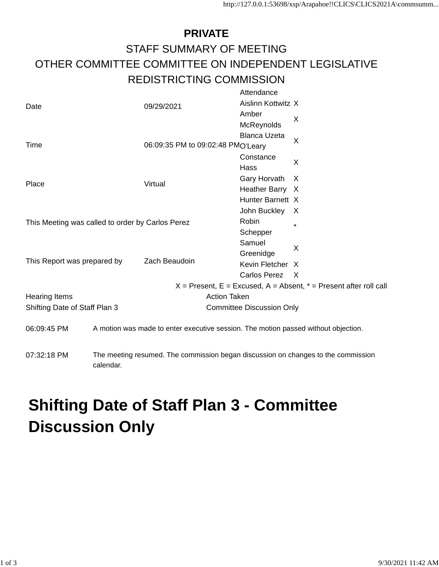## **PRIVATE** STAFF SUMMARY OF MEETING OTHER COMMITTEE COMMITTEE ON INDEPENDENT LEGISLATIVE REDISTRICTING COMMISSION Attendance

|                                                  |                                                                                                | 09/29/2021                       | Attendance                        |              |
|--------------------------------------------------|------------------------------------------------------------------------------------------------|----------------------------------|-----------------------------------|--------------|
| Date                                             |                                                                                                |                                  | Aislinn Kottwitz X                |              |
|                                                  |                                                                                                |                                  | Amber                             | X            |
|                                                  |                                                                                                |                                  | McReynolds                        |              |
|                                                  |                                                                                                |                                  | <b>Blanca Uzeta</b>               | $\times$     |
| Time                                             |                                                                                                |                                  | 06:09:35 PM to 09:02:48 PMO'Leary |              |
|                                                  |                                                                                                |                                  | Constance                         | X            |
|                                                  |                                                                                                |                                  | Hass                              |              |
| Place                                            |                                                                                                | Virtual                          | Gary Horvath                      | X            |
|                                                  |                                                                                                |                                  | Heather Barry X                   |              |
|                                                  |                                                                                                |                                  | Hunter Barnett X                  |              |
|                                                  |                                                                                                |                                  | John Buckley                      | X            |
| This Meeting was called to order by Carlos Perez |                                                                                                |                                  | Robin                             | $\star$      |
|                                                  |                                                                                                |                                  | Schepper                          |              |
|                                                  |                                                                                                |                                  | Samuel                            | X            |
| This Report was prepared by                      |                                                                                                | Zach Beaudoin                    | Greenidge                         |              |
|                                                  |                                                                                                |                                  | Kevin Fletcher X                  |              |
|                                                  |                                                                                                |                                  | Carlos Perez                      | $\mathsf{X}$ |
|                                                  | $X =$ Present, E = Excused, A = Absent, $* =$ Present after roll call                          |                                  |                                   |              |
| <b>Hearing Items</b>                             |                                                                                                | <b>Action Taken</b>              |                                   |              |
| Shifting Date of Staff Plan 3                    |                                                                                                | <b>Committee Discussion Only</b> |                                   |              |
| 06:09:45 PM                                      | A motion was made to enter executive session. The motion passed without objection.             |                                  |                                   |              |
| 07:32:18 PM                                      | The meeting resumed. The commission began discussion on changes to the commission<br>calendar. |                                  |                                   |              |

## **Shifting Date of Staff Plan 3 - Committee Discussion Only**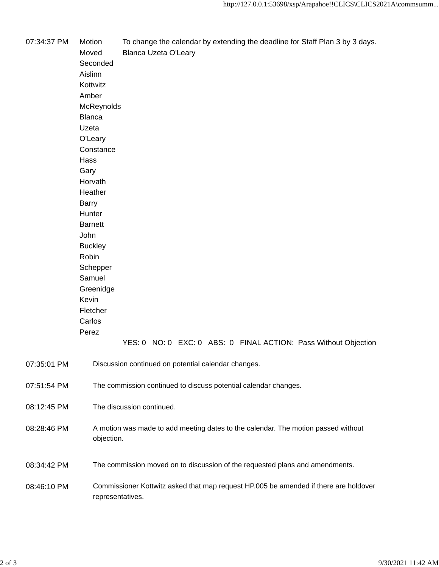07:34:37 PM Motion To change the calendar by extending the deadline for Staff Plan 3 by 3 days. Moved Blanca Uzeta O'Leary Seconded Aislinn Kottwitz Amber **McReynolds** Blanca Uzeta O'Leary **Constance** Hass Gary Horvath **Heather** Barry **Hunter** Barnett John **Buckley** Robin Schepper Samuel Greenidge Kevin Fletcher Carlos Perez YES: 0 NO: 0 EXC: 0 ABS: 0 FINAL ACTION: Pass Without Objection 07:35:01 PM Discussion continued on potential calendar changes. 07:51:54 PM The commission continued to discuss potential calendar changes. 08:12:45 PM The discussion continued. 08:28:46 PM A motion was made to add meeting dates to the calendar. The motion passed without objection. 08:34:42 PM The commission moved on to discussion of the requested plans and amendments. 08:46:10 PM Commissioner Kottwitz asked that map request HP.005 be amended if there are holdover

representatives.